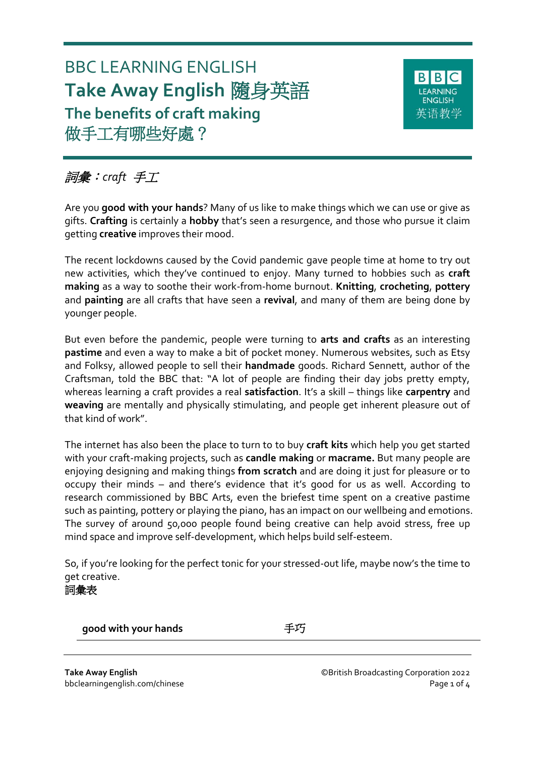# BBC LEARNING ENGLISH **Take Away English** 隨身英語 **The benefits of craft making** 做手工有哪些好處?



# 詞彙:*craft* 手工

Are you **good with your hands**? Many of us like to make things which we can use or give as gifts. **Crafting** is certainly a **hobby** that's seen a resurgence, and those who pursue it claim getting **creative** improves their mood.

The recent lockdowns caused by the Covid pandemic gave people time at home to try out new activities, which they've continued to enjoy. Many turned to hobbies such as **craft making** as a way to soothe their work-from-home burnout. **Knitting**, **crocheting**, **pottery** and **painting** are all crafts that have seen a **revival**, and many of them are being done by younger people.

But even before the pandemic, people were turning to **arts and crafts** as an interesting **pastime** and even a way to make a bit of pocket money. Numerous websites, such as Etsy and Folksy, allowed people to sell their **handmade** goods. Richard Sennett, author of the Craftsman, told the BBC that: "A lot of people are finding their day jobs pretty empty, whereas learning a craft provides a real **satisfaction**. It's a skill – things like **carpentry** and **weaving** are mentally and physically stimulating, and people get inherent pleasure out of that kind of work".

The internet has also been the place to turn to to buy **craft kits** which help you get started with your craft-making projects, such as **candle making** or **macrame.** But many people are enjoying designing and making things **from scratch** and are doing it just for pleasure or to occupy their minds – and there's evidence that it's good for us as well. According to research commissioned by BBC Arts, even the briefest time spent on a creative pastime such as painting, pottery or playing the piano, has an impact on our wellbeing and emotions. The survey of around 50,000 people found being creative can help avoid stress, free up mind space and improve self-development, which helps build self-esteem.

So, if you're looking for the perfect tonic for your stressed-out life, maybe now's the time to get creative.

# 詞彙表

**good with your hands** 手巧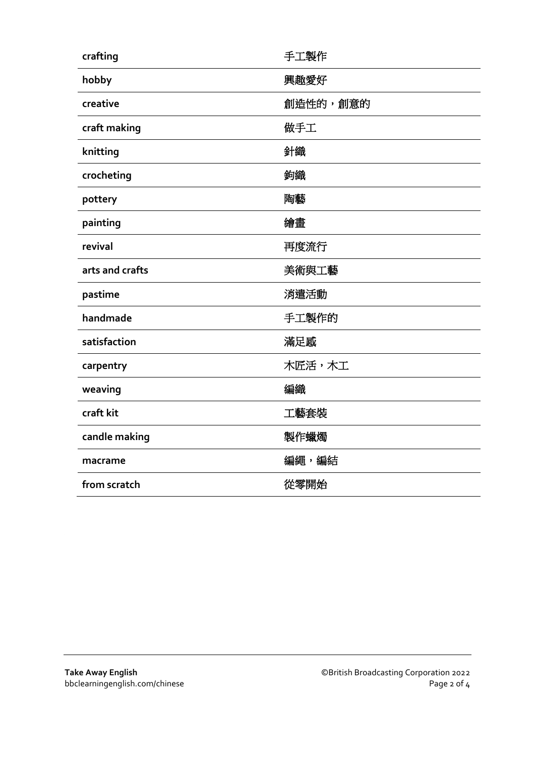| crafting        | 手工製作     |
|-----------------|----------|
| hobby           | 興趣愛好     |
| creative        | 創造性的,創意的 |
| craft making    | 做手工      |
| knitting        | 針織       |
| crocheting      | 鉤織       |
| pottery         | 陶藝       |
| painting        | 繪畫       |
| revival         | 再度流行     |
| arts and crafts | 美術與工藝    |
| pastime         | 消遣活動     |
| handmade        | 手工製作的    |
| satisfaction    | 滿足感      |
| carpentry       | 木匠活,木工   |
| weaving         | 編織       |
| craft kit       | 工藝套裝     |
| candle making   | 製作蠟燭     |
| macrame         | 編繩,編結    |
| from scratch    | 從零開始     |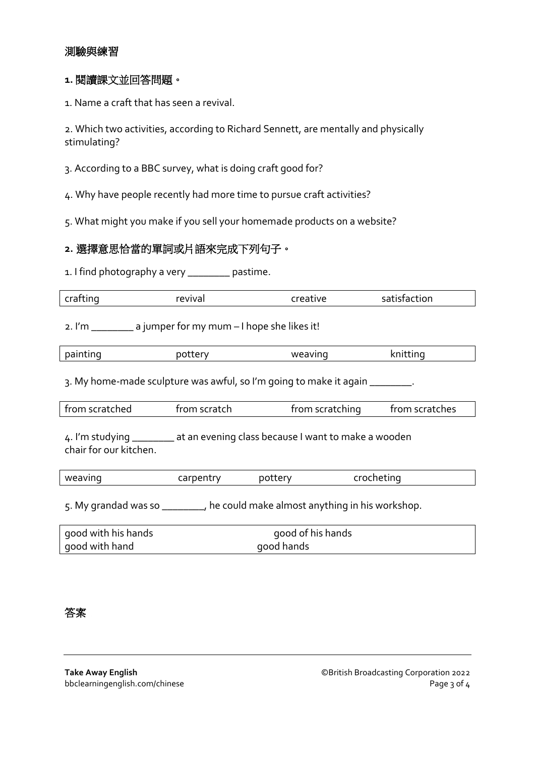# 測驗與練習

#### **1.** 閱讀課文並回答問題。

1. Name a craft that has seen a revival.

2. Which two activities, according to Richard Sennett, are mentally and physically stimulating?

3. According to a BBC survey, what is doing craft good for?

4. Why have people recently had more time to pursue craft activities?

5. What might you make if you sell your homemade products on a website?

### **2.** 選擇意思恰當的單詞或片語來完成下列句子。

1. I find photography a very \_\_\_\_\_\_\_\_ pastime.

| crafting                                                                                                | revival      | creative                                 | satisfaction                      |
|---------------------------------------------------------------------------------------------------------|--------------|------------------------------------------|-----------------------------------|
|                                                                                                         |              |                                          |                                   |
| 2. I'm _________ a jumper for my mum - I hope she likes it!                                             |              |                                          |                                   |
| painting                                                                                                | pottery      | weaving                                  | knitting                          |
|                                                                                                         |              |                                          |                                   |
| 3. My home-made sculpture was awful, so I'm going to make it again ________.                            |              |                                          |                                   |
| from scratched                                                                                          | from scratch |                                          | from scratches<br>from scratching |
| 4. I'm studying _________ at an evening class because I want to make a wooden<br>chair for our kitchen. |              |                                          |                                   |
| weaving                                                                                                 | carpentry    | pottery                                  | crocheting                        |
| 5. My grandad was so ________, he could make almost anything in his workshop.                           |              |                                          |                                   |
|                                                                                                         |              | $\mathbf{r}$ . The state of $\mathbf{r}$ |                                   |

| good with his hands | good of his hands |
|---------------------|-------------------|
| good with hand      | good hands        |

答案